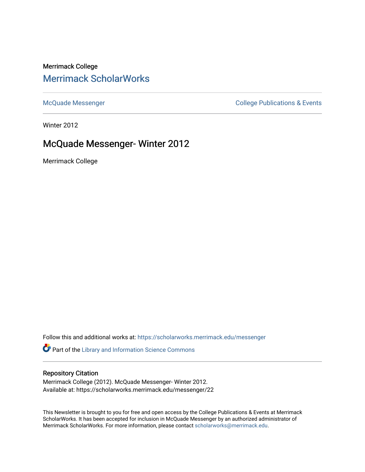## Merrimack College [Merrimack ScholarWorks](https://scholarworks.merrimack.edu/)

[McQuade Messenger](https://scholarworks.merrimack.edu/messenger) College Publications & Events

Winter 2012

# McQuade Messenger- Winter 2012

Merrimack College

Follow this and additional works at: [https://scholarworks.merrimack.edu/messenger](https://scholarworks.merrimack.edu/messenger?utm_source=scholarworks.merrimack.edu%2Fmessenger%2F22&utm_medium=PDF&utm_campaign=PDFCoverPages) 

Part of the [Library and Information Science Commons](http://network.bepress.com/hgg/discipline/1018?utm_source=scholarworks.merrimack.edu%2Fmessenger%2F22&utm_medium=PDF&utm_campaign=PDFCoverPages) 

## Repository Citation

Merrimack College (2012). McQuade Messenger- Winter 2012. Available at: https://scholarworks.merrimack.edu/messenger/22

This Newsletter is brought to you for free and open access by the College Publications & Events at Merrimack ScholarWorks. It has been accepted for inclusion in McQuade Messenger by an authorized administrator of Merrimack ScholarWorks. For more information, please contact [scholarworks@merrimack.edu](mailto:scholarworks@merrimack.edu).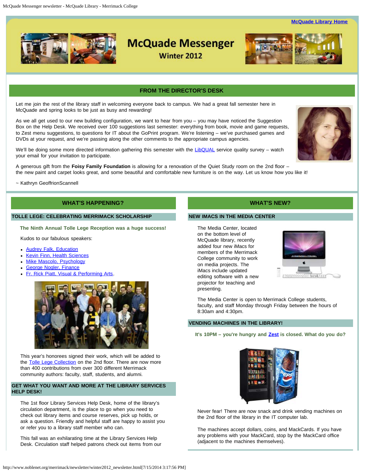**[McQuade Library Home](http://www.noblenet.org/merrimack/)** 



# **McQuade Messenger**

**Winter 2012** 



### **FROM THE DIRECTOR'S DESK**

<span id="page-1-0"></span>Let me join the rest of the library staff in welcoming everyone back to campus. We had a great fall semester here in McQuade and spring looks to be just as busy and rewarding!

As we all get used to our new building configuration, we want to hear from you – you may have noticed the Suggestion Box on the Help Desk. We received over 100 suggestions last semester: everything from book, movie and game requests, to Zest menu suggestions, to questions for IT about the GoPrint program. We're listening – we've purchased games and DVDs at your request, and we're passing along the other comments to the appropriate campus agencies.

We'll be doing some more directed information gathering this semester with the [LibQUAL](http://www.libqual.org/home) service quality survey - watch your email for your invitation to participate.

A generous gift from the **Foisy Family Foundation** is allowing for a renovation of the Quiet Study room on the 2nd floor – the new paint and carpet looks great, and some beautiful and comfortable new furniture is on the way. Let us know how you like it!

~ Kathryn GeoffrionScannell

### **WHAT'S HAPPENING?**

#### **TOLLE LEGE: CELEBRATING MERRIMACK SCHOLARSHIP**

**The Ninth Annual Tolle Lege Reception was a huge success!**

Kudos to our fabulous speakers:

- **[Audrey Falk, Education](http://www.merrimack.edu/academics/education/med/meet_faculty_staff/audreyfalk.php)**
- [Kevin Finn, Health Sciences](http://www.merrimack.edu/academics/science_engineering/health_sciences/meet_faculty_staff/fac_kevin_finn.php)  $\bullet$
- [Mike Mascolo, Psychology](http://www.merrimack.edu/academics/liberal_arts/psychology/meet_faculty_staff/fac_mascolo.php)
- [George Nogler, Finance](http://www.merrimack.edu/academics/business/accounting/meet_faculty_staff/george_nogler.php)
- [Fr. Rick Piatt, Visual & Performing Arts.](http://www.merrimack.edu/academics/liberal_arts/visualandperformingarts/meet_faculty_staff/fac_richard_priatt.php)



This year's honorees signed their work, which will be added to the [Tolle Lege Collection](http://www.noblenet.org/merrimack/booklists/tolle/tollelege.html) on the 2nd floor. There are now more than 400 contributions from over 300 different Merrimack community authors: faculty, staff, students, and alumni.

#### **GET WHAT YOU WANT AND MORE AT THE LIBRARY SERVICES HELP DESK!**

The 1st floor Library Services Help Desk, home of the library's circulation department, is the place to go when you need to check out library items and course reserves, pick up holds, or ask a question. Friendly and helpful staff are happy to assist you or refer you to a library staff member who can.

This fall was an exhilarating time at the Library Services Help Desk. Circulation staff helped patrons check out items from our

#### **WHAT'S NEW?**

#### **NEW IMACS IN THE MEDIA CENTER**

The Media Center, located on the bottom level of McQuade library, recently added four new iMacs for members of the Merrimack College community to work on media projects. The iMacs include updated editing software with a new projector for teaching and presenting.



The Media Center is open to Merrimack College students, faculty, and staff Monday through Friday between the hours of 8:30am and 4:30pm.

#### **VENDING MACHINES IN THE LIBRARY!**

**It's 10PM – you're hungry and [Zest](http://merrimackdining.com/dining/zest.html) is closed. What do you do?**



Never fear! There are now snack and drink vending machines on the 2nd floor of the library in the IT computer lab.

The machines accept dollars, coins, and MackCards. If you have any problems with your MackCard, stop by the MackCard office (adjacent to the machines themselves).

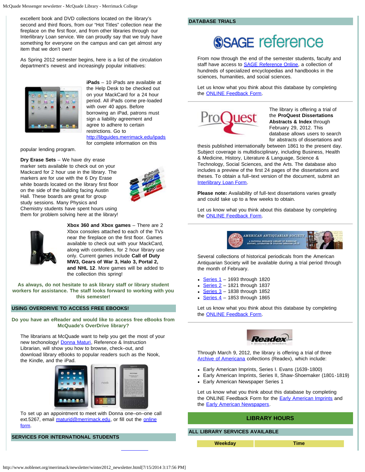excellent book and DVD collections located on the library's second and third floors, from our "Hot Titles" collection near the fireplace on the first floor, and from other libraries through our Interlibrary Loan service. We can proudly say that we truly have something for everyone on the campus and can get almost any item that we don't own!

As Spring 2012 semester begins, here is a list of the circulation department's newest and increasingly popular initiatives:



**iPads** – 10 iPads are available at the Help Desk to be checked out on your MackCard for a 24 hour period. All iPads come pre-loaded with over 40 apps. Before borrowing an iPad, patrons must sign a liability agreement and agree to adhere to certain restrictions. Go to <http://libguides.merrimack.edu/ipads>

for complete information on this

popular lending program.

**Dry Erase Sets** – We have dry erase marker sets available to check out on your Mackcard for 2 hour use in the library. The markers are for use with the 6 Dry Erase white boards located on the library first floor on the side of the building facing Austin Hall. These boards are great for group study sessions. Many Physics and Chemistry students have spent hours using them for problem solving here at the library!





**Xbox 360 and Xbox games** – There are 2 Xbox consoles attached to each of the TVs near the fireplace on the first floor. Games available to check out with your MackCard, along with controllers, for 2 hour library use only. Current games include **Call of Duty MW3, Gears of War 3, Halo 3, Portal 2, and NHL 12**. More games will be added to the collection this spring!

**As always, do not hesitate to ask library staff or library student workers for assistance. The staff looks forward to working with you this semester!**

#### **USING OVERDRIVE TO ACCESS FREE EBOOKS!**

**Do you have an eReader and would like to access free eBooks from McQuade's OverDrive library?**

The librarians at McQuade want to help you get the most of your new techonology! [Donna Maturi,](mailto:maturid@merrimack.edu) Reference & Instruction Librarian, will show you how to browse, check–out, and download library eBooks to popular readers such as the Nook, the Kindle, and the iPad.



To set up an appointment to meet with Donna one–on–one call ext.5267, email [maturid@merrimack.edu](mailto:maturid@merrimack.edu), or fill out the [online](http://libguides.merrimack.edu/content.php?pid=117329&sid=2475506) [form.](http://libguides.merrimack.edu/content.php?pid=117329&sid=2475506)

**SERVICES FOR INTERNATIONAL STUDENTS**

#### **DATABASE TRIALS**

# **SSAGE reference**

From now through the end of the semester students, faculty and staff have access to **[SAGE Reference Online](http://proxy3.noblenet.org/login?url=http://www.sage-ereference.com/)**, a collection of hundreds of specialized encyclopedias and handbooks in the sciences, humanities, and social sciences.

Let us know what you think about this database by completing the [ONLINE Feedback Form](http://libguides.merrimack.edu/content.php?pid=302927&sid=2483609).



The library is offering a trial of the **ProQuest Dissertations Abstracts & Index** through February 29, 2012. This database allows users to search for abstracts of dissertations and

thesis published internationally between 1861 to the present day. Subject coverage is multidisciplinary, including Business, Health & Medicine, History, Literature & Language, Science & Technology, Social Sciences, and the Arts. The database also includes a preview of the first 24 pages of the dissertations and theses. To obtain a full–text version of the document, submit an [Interlibrary Loan Form](http://libguides.merrimack.edu/content.php?pid=236302&sid=1955087).

**Please note:** Availability of full-text dissertations varies greatly and could take up to a few weeks to obtain.

Let us know what you think about this database by completing the [ONLINE Feedback Form](http://libguides.merrimack.edu/content.php?pid=302927&sid=2483609).



Several collections of historical periodicals from the American Antiquarian Society will be available during a trial period through the month of February.

- [Series 1](http://proxy3.noblenet.org/login?url=http://search.ebscohost.com/login.aspx?authtype=ip,uid&profile=ehost&defaultdb=h9h) 1693 through 1820
- $\cdot$  [Series 2](http://proxy3.noblenet.org/login?url=http://search.ebscohost.com/login.aspx?authtype=ip,uid&profile=ehost&defaultdb=h9i) 1821 through 1837
- Series  $3 1838$  through 1852
- Series  $4 1853$  through 1865

Let us know what you think about this database by completing the [ONLINE Feedback Form](http://libguides.merrimack.edu/content.php?pid=302927&sid=2484049).



Through March 9, 2012, the library is offering a trial of three [Archive of Americana](http://proxy3.noblenet.org/login?url=http://infoweb.newsbank.com/) collections (Readex), which include:

- Early American Imprints, Series I. Evans (1639-1800)
- Early American Imprints, Series II, Shaw-Shoemaker (1801-1819)
- Early American Newspaper Series 1

Let us know what you think about this database by completing the ONLINE Feedback Form for the **[Early American Imprints](http://libguides.merrimack.edu/content.php?pid=302927&sid=2484487)** and the **Early American Newspapers**.

#### **LIBRARY HOURS**

#### **ALL LIBRARY SERVICES AVAILABLE**

**Weekday Time**